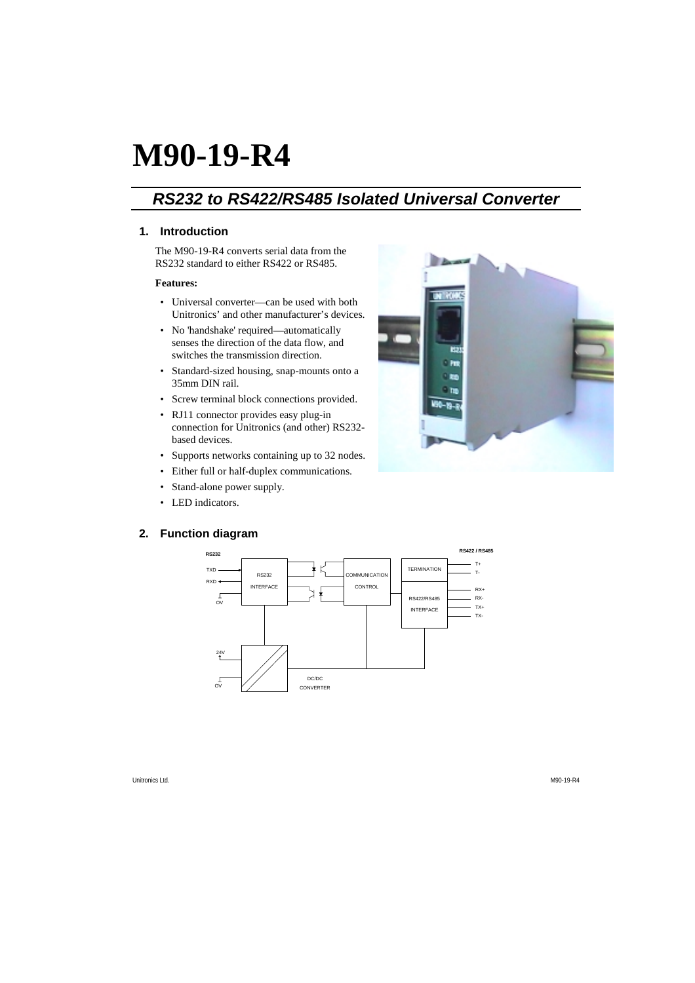# **M90-19-R4**

# *RS232 to RS422/RS485 Isolated Universal Converter*

# **1. Introduction**

The M90-19-R4 converts serial data from the RS232 standard to either RS422 or RS485.

#### **Features:**

- Universal converter—can be used with both Unitronics' and other manufacturer's devices.
- No 'handshake' required—automatically senses the direction of the data flow, and switches the transmission direction.
- Standard-sized housing, snap-mounts onto a 35mm DIN rail.
- Screw terminal block connections provided.
- RJ11 connector provides easy plug-in connection for Unitronics (and other) RS232 based devices.
- Supports networks containing up to 32 nodes.
- Either full or half-duplex communications.
- Stand-alone power supply.
- LED indicators.

# **2. Function diagram**



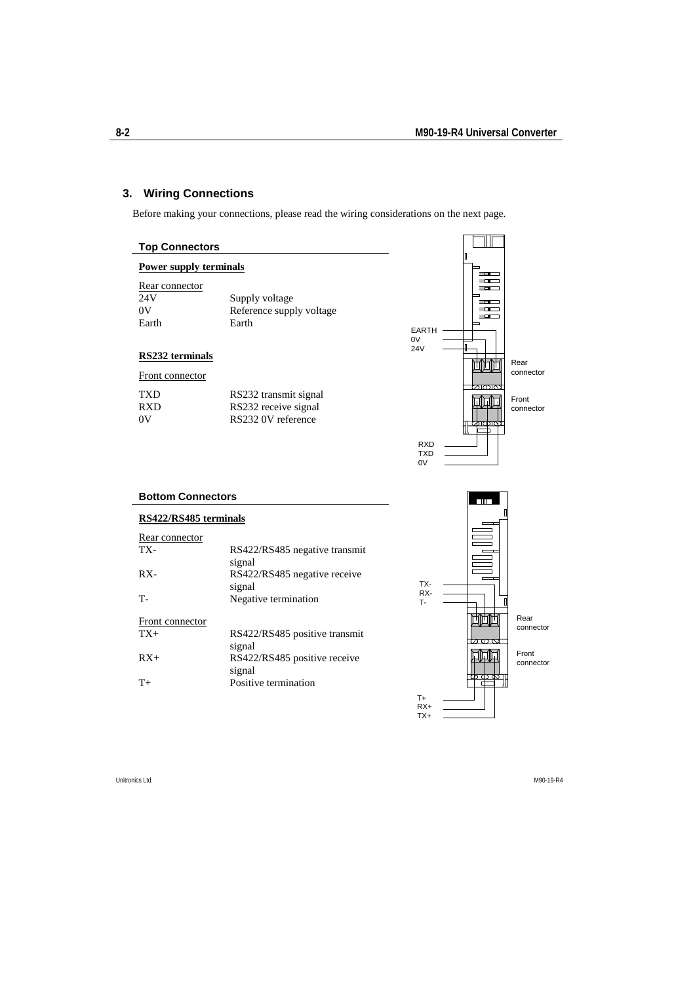# **3. Wiring Connections**

Before making your connections, please read the wiring considerations on the next page.

| <b>Top Connectors</b>                |                                                                     |                                |                                                          |
|--------------------------------------|---------------------------------------------------------------------|--------------------------------|----------------------------------------------------------|
| <b>Power supply terminals</b>        |                                                                     |                                | П<br>□□                                                  |
| Rear connector<br>24V<br>0V<br>Earth | Supply voltage<br>Reference supply voltage<br>Earth                 | EARTH -<br>0V                  | —<br>$\overline{\phantom{a}}$<br>Ē<br><u>на </u><br>r an |
| RS232 terminals                      |                                                                     | <b>24V</b>                     | п                                                        |
| Front connector                      |                                                                     |                                | Rear<br>mmr<br>connector                                 |
| TXD<br><b>RXD</b><br>0V              | RS232 transmit signal<br>RS232 receive signal<br>RS232 0V reference |                                | Front<br>connector<br><u> कातातात्क</u>                  |
|                                      |                                                                     | <b>RXD</b><br><b>TXD</b><br>0V |                                                          |
| <b>Bottom Connectors</b>             |                                                                     |                                |                                                          |
| RS422/RS485 terminals                |                                                                     |                                |                                                          |
| Rear connector<br>TX-                | RS422/RS485 negative transmit<br>signal                             |                                |                                                          |
| RX-                                  | RS422/RS485 negative receive<br>signal                              | TX-                            |                                                          |
| T-                                   | Negative termination                                                | RX-<br>T-                      | П                                                        |
| Front connector<br>$TX+$             | RS422/RS485 positive transmit<br>signal                             |                                | Rear<br>connector                                        |
| $RX+$                                | RS422/RS485 positive receive<br>signal                              |                                | Front<br>connector<br>m m                                |
| $T+$                                 | Positive termination                                                | $T_{+}$<br>$RX+$<br>TX+        | о                                                        |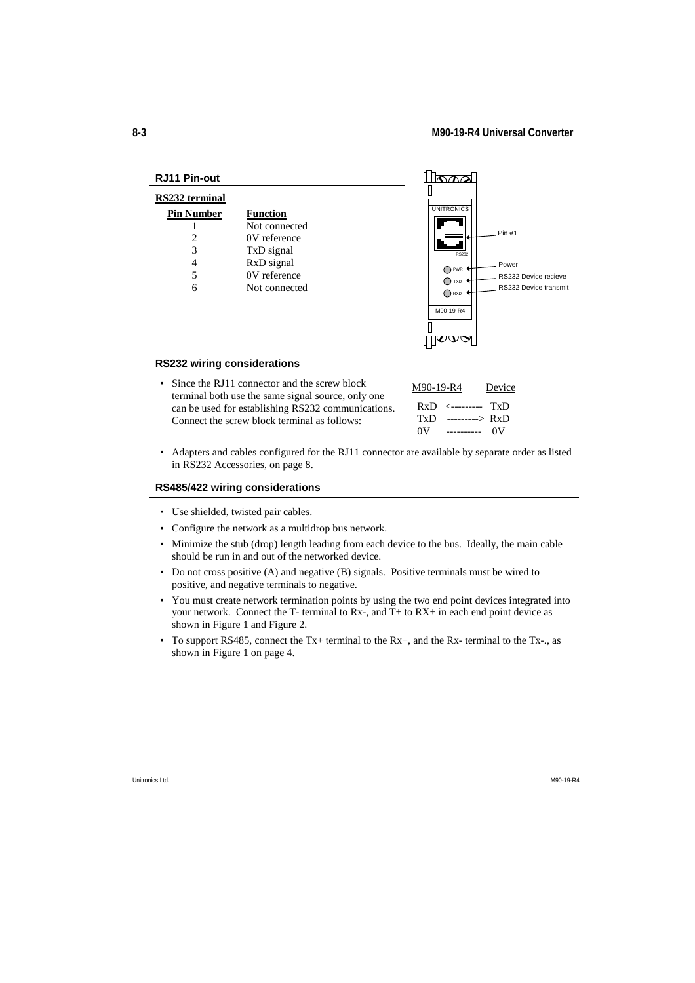| <b>RJ11 Pin-out</b>                                          |                                                                                                               |                                                                                                                                                                       |
|--------------------------------------------------------------|---------------------------------------------------------------------------------------------------------------|-----------------------------------------------------------------------------------------------------------------------------------------------------------------------|
| RS232 terminal<br><b>Pin Number</b><br>2<br>3<br>4<br>5<br>6 | <b>Function</b><br>Not connected<br>0V reference<br>TxD signal<br>RxD signal<br>0V reference<br>Not connected | <b>UNITRONICS</b><br>Pin #1<br><b>RS232</b><br>Power<br>$\bigcap$ PWR<br>RS232 Device recieve<br>$\bigcap$ txd<br>RS232 Device transmit<br>$\bigcap$ RXD<br>M90-19-R4 |
| <b>RS232 wiring considerations</b>                           |                                                                                                               |                                                                                                                                                                       |

- Since the RJ11 connector and the screw block terminal both use the same signal source, only one can be used for establishing RS232 communications. Connect the screw block terminal as follows: M90-19-R4 Device RxD <--------- TxD TxD ---------> RxD 0V ---------- 0V
- Adapters and cables configured for the RJ11 connector are available by separate order as listed in RS232 Accessories, on page 8.

#### **RS485/422 wiring considerations**

- Use shielded, twisted pair cables.
- Configure the network as a multidrop bus network.
- Minimize the stub (drop) length leading from each device to the bus. Ideally, the main cable should be run in and out of the networked device.
- Do not cross positive (A) and negative (B) signals. Positive terminals must be wired to positive, and negative terminals to negative.
- You must create network termination points by using the two end point devices integrated into your network. Connect the T- terminal to Rx-, and T+ to RX+ in each end point device as shown in Figure 1 and Figure 2.
- To support RS485, connect the Tx+ terminal to the Rx+, and the Rx- terminal to the Tx-., as shown in Figure 1 on page 4.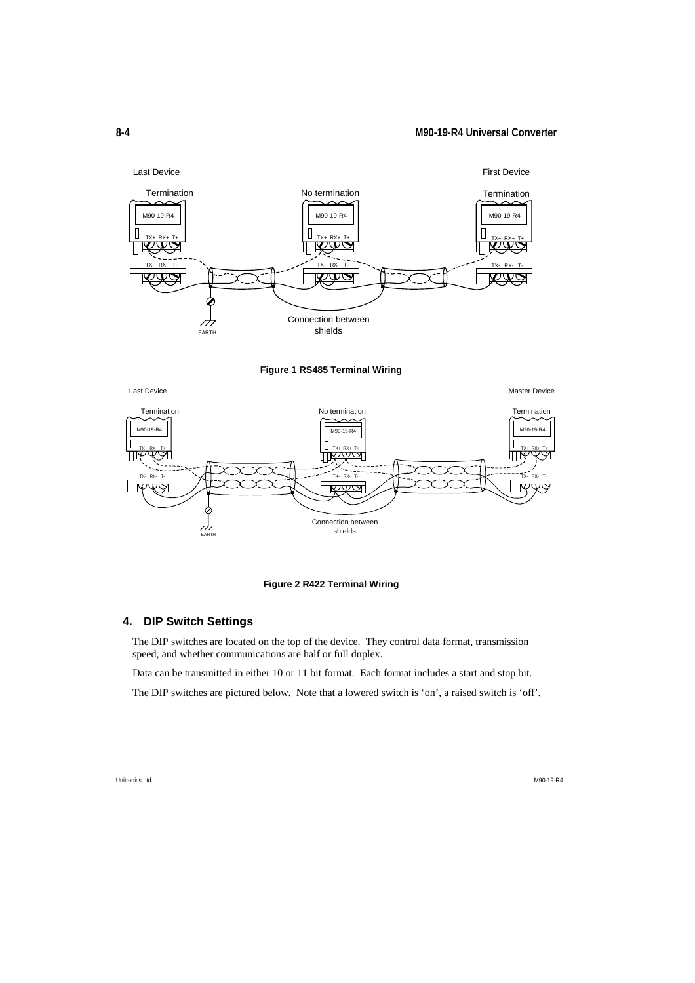

#### **Figure 1 RS485 Terminal Wiring**

Last Device Master Device Termination **Termination** No termination **No termination No termination Termination** M90-19-R4 | M90-19-R4 | M90-19-R4 | M90-19-R4 | M90-19-R4 | M90-19-R4 | M90-19-R4  $\Box$ O  $\Box$ TX+ RX+ T+ TX+ RX+ T+ ℼ <u>Ty ج</u> ШL TX- RX- T-TX- RX- T-TX- RX- T-Connection between  $\overrightarrow{A}$ shields

#### **Figure 2 R422 Terminal Wiring**

### **4. DIP Switch Settings**

The DIP switches are located on the top of the device. They control data format, transmission speed, and whether communications are half or full duplex.

Data can be transmitted in either 10 or 11 bit format. Each format includes a start and stop bit.

The DIP switches are pictured below. Note that a lowered switch is 'on', a raised switch is 'off'.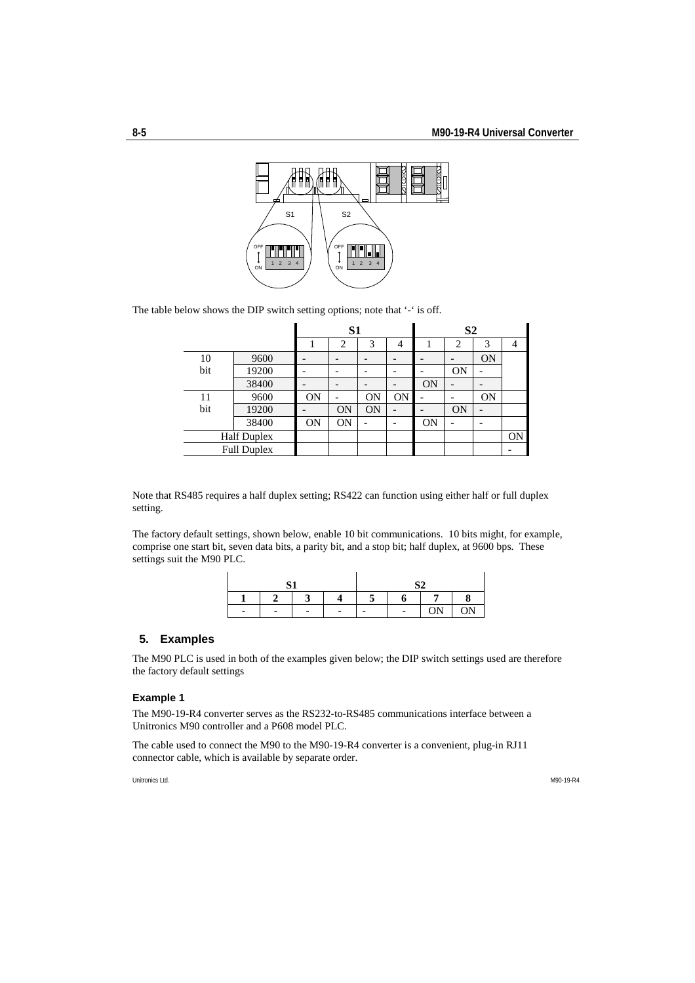$\bar{1}$ 



The table below shows the DIP switch setting options; note that '-' is off.

|                    |       | S1        |           |           |           | S <sub>2</sub> |           |           |           |
|--------------------|-------|-----------|-----------|-----------|-----------|----------------|-----------|-----------|-----------|
|                    |       |           | 2         | 3         | 4         |                | 2         | 3         |           |
| 10                 | 9600  |           |           |           |           |                |           | <b>ON</b> |           |
| bit                | 19200 |           |           |           |           |                | <b>ON</b> |           |           |
|                    | 38400 |           |           |           |           | <b>ON</b>      |           |           |           |
| 11                 | 9600  | <b>ON</b> |           | <b>ON</b> | <b>ON</b> |                |           | <b>ON</b> |           |
| bit                | 19200 |           | <b>ON</b> | <b>ON</b> |           |                | <b>ON</b> |           |           |
|                    | 38400 | <b>ON</b> | <b>ON</b> |           |           | ON             |           |           |           |
| <b>Half Duplex</b> |       |           |           |           |           |                |           |           | <b>ON</b> |
| <b>Full Duplex</b> |       |           |           |           |           |                |           |           |           |

Note that RS485 requires a half duplex setting; RS422 can function using either half or full duplex setting.

The factory default settings, shown below, enable 10 bit communications. 10 bits might, for example, comprise one start bit, seven data bits, a parity bit, and a stop bit; half duplex, at 9600 bps. These settings suit the M90 PLC.

| C <sub>1</sub><br>ັ |  |  | S2 |  |                       |          |
|---------------------|--|--|----|--|-----------------------|----------|
|                     |  |  |    |  |                       | $\Omega$ |
|                     |  |  |    |  | ΩN<br>$\sim$ 1 $\sim$ | ON       |

#### **5. Examples**

 $\sim$ 

The M90 PLC is used in both of the examples given below; the DIP switch settings used are therefore the factory default settings

#### **Example 1**

The M90-19-R4 converter serves as the RS232-to-RS485 communications interface between a Unitronics M90 controller and a P608 model PLC.

The cable used to connect the M90 to the M90-19-R4 converter is a convenient, plug-in RJ11 connector cable, which is available by separate order.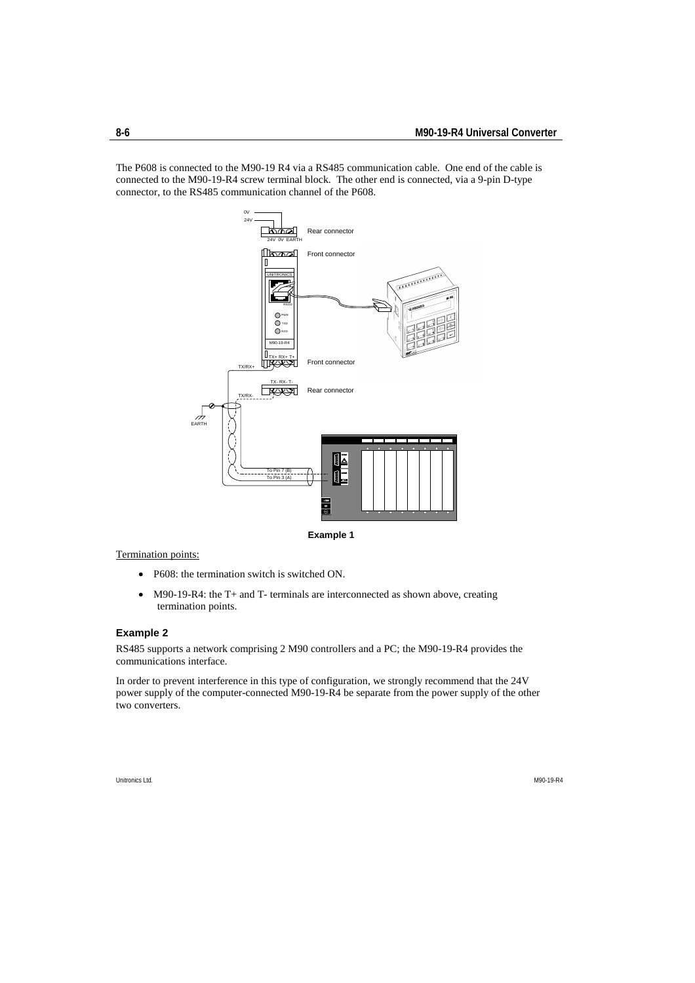The P608 is connected to the M90-19 R4 via a RS485 communication cable. One end of the cable is connected to the M90-19-R4 screw terminal block. The other end is connected, via a 9-pin D-type connector, to the RS485 communication channel of the P608.



Termination points:

- P608: the termination switch is switched ON.
- M90-19-R4: the T+ and T- terminals are interconnected as shown above, creating termination points.

#### **Example 2**

RS485 supports a network comprising 2 M90 controllers and a PC; the M90-19-R4 provides the communications interface.

In order to prevent interference in this type of configuration, we strongly recommend that the 24V power supply of the computer-connected M90-19-R4 be separate from the power supply of the other two converters.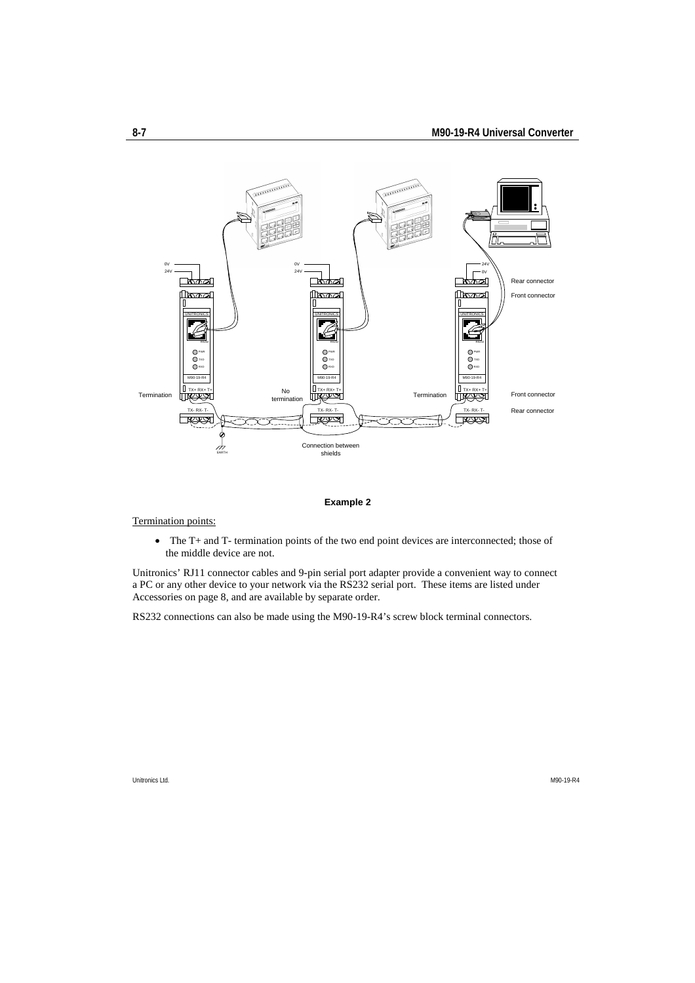

#### **Example 2**

#### Termination points:

• The T+ and T- termination points of the two end point devices are interconnected; those of the middle device are not.

Unitronics' RJ11 connector cables and 9-pin serial port adapter provide a convenient way to connect a PC or any other device to your network via the RS232 serial port. These items are listed under Accessories on page 8, and are available by separate order.

RS232 connections can also be made using the M90-19-R4's screw block terminal connectors.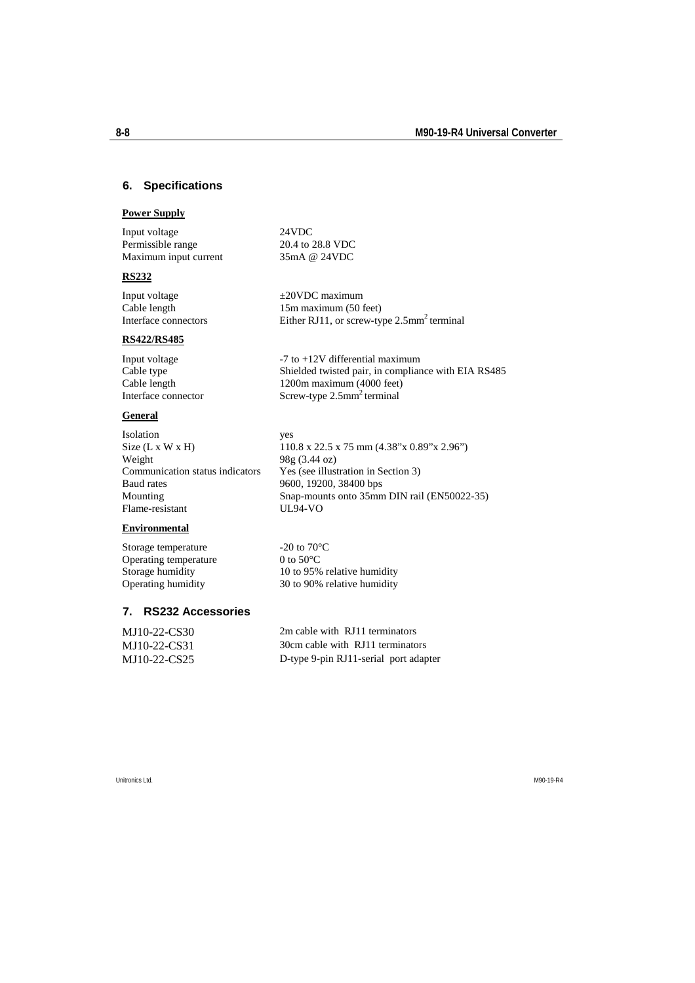# **6. Specifications**

#### **Power Supply**

Input voltage 24VDC Permissible range 20.4 to 28.8 VDC Maximum input current 35mA @ 24VDC

#### **RS232**

Input voltage  $\pm 20$ VDC maximum Cable length 15m maximum (50 feet) Interface connectors Either RJ11, or screw-type 2.5mm<sup>2</sup> terminal

#### **RS422/RS485**

Input voltage  $-7$  to  $+12V$  differential maximum Cable type Shielded twisted pair, in compliance with EIA RS485 Cable length 1200m maximum (4000 feet) Interface connector Screw-type 2.5mm<sup>2</sup> terminal

# **General**

Isolation yes Weight  $98g (3.44 oz)$ Communication status indicators Yes (see illustration in Section 3) Baud rates 9600, 19200, 38400 bps<br>Mounting Snap-mounts onto 35mn Flame-resistant

# **Environmental**

Storage temperature  $-20$  to  $70^{\circ}$ C<br>Operating temperature  $0$  to  $50^{\circ}$ C Operating temperature

# **7. RS232 Accessories**

Size (L x W x H) 110.8 x 22.5 x 75 mm (4.38"x 0.89"x 2.96") Snap-mounts onto  $35$ mm DIN rail (EN50022-35)<br>UL94-VO

Storage humidity 10 to 95% relative humidity<br>Operating humidity 30 to 90% relative humidity 30 to 90% relative humidity

| MJ10-22-CS30 | 2m cable with RJ11 terminators        |
|--------------|---------------------------------------|
| MJ10-22-CS31 | 30cm cable with RJ11 terminators      |
| MJ10-22-CS25 | D-type 9-pin RJ11-serial port adapter |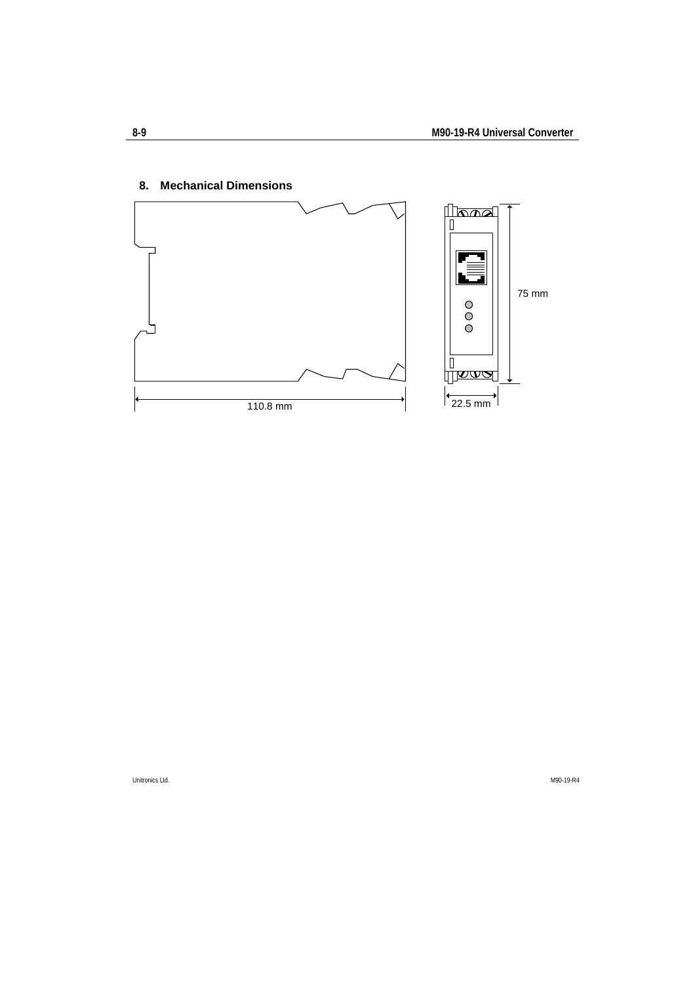

# **8. Mechanical Dimensions**